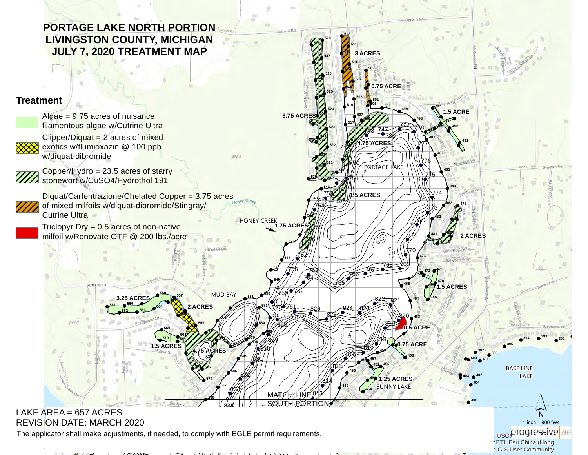